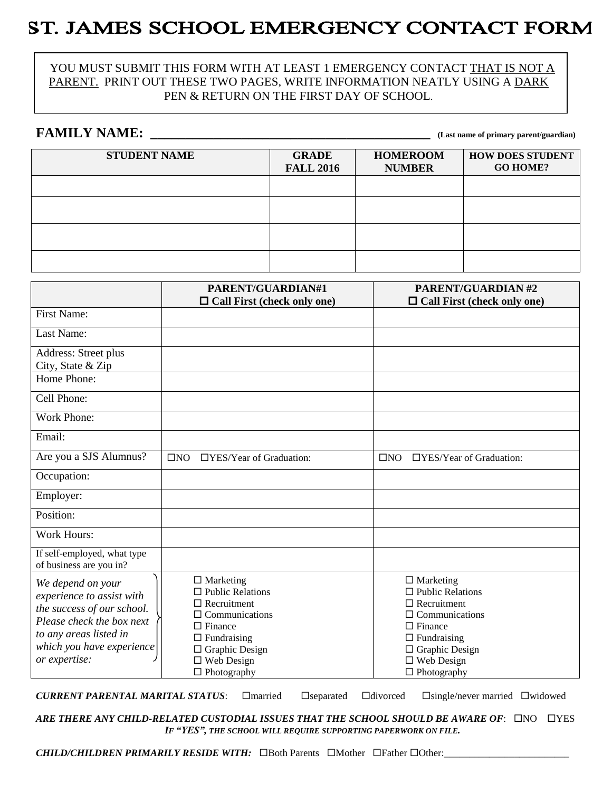# ST. JAMES SCHOOL EMERGENCY CONTACT FORM

#### YOU MUST SUBMIT THIS FORM WITH AT LEAST 1 EMERGENCY CONTACT THAT IS NOT A PARENT. PRINT OUT THESE TWO PAGES, WRITE INFORMATION NEATLY USING A DARK PEN & RETURN ON THE FIRST DAY OF SCHOOL.

#### **FAMILY NAME: \_\_\_\_\_\_\_\_\_\_\_\_\_\_\_\_\_\_\_\_\_\_\_\_\_\_\_\_\_\_\_\_\_\_\_\_\_\_\_\_ (Last name of primary parent/guardian)**

| <b>STUDENT NAME</b> | <b>GRADE</b><br><b>FALL 2016</b> | <b>HOMEROOM</b><br><b>NUMBER</b> | <b>HOW DOES STUDENT</b><br><b>GO HOME?</b> |
|---------------------|----------------------------------|----------------------------------|--------------------------------------------|
|                     |                                  |                                  |                                            |
|                     |                                  |                                  |                                            |
|                     |                                  |                                  |                                            |
|                     |                                  |                                  |                                            |

|                                                                                                                                                                                   | PARENT/GUARDIAN#1                                                                                                                                                                                         | <b>PARENT/GUARDIAN#2</b>                                                                                                                                                                               |  |  |
|-----------------------------------------------------------------------------------------------------------------------------------------------------------------------------------|-----------------------------------------------------------------------------------------------------------------------------------------------------------------------------------------------------------|--------------------------------------------------------------------------------------------------------------------------------------------------------------------------------------------------------|--|--|
|                                                                                                                                                                                   | $\Box$ Call First (check only one)                                                                                                                                                                        | $\Box$ Call First (check only one)                                                                                                                                                                     |  |  |
| <b>First Name:</b>                                                                                                                                                                |                                                                                                                                                                                                           |                                                                                                                                                                                                        |  |  |
| Last Name:                                                                                                                                                                        |                                                                                                                                                                                                           |                                                                                                                                                                                                        |  |  |
| Address: Street plus<br>City, State & Zip<br>Home Phone:                                                                                                                          |                                                                                                                                                                                                           |                                                                                                                                                                                                        |  |  |
| Cell Phone:                                                                                                                                                                       |                                                                                                                                                                                                           |                                                                                                                                                                                                        |  |  |
| <b>Work Phone:</b>                                                                                                                                                                |                                                                                                                                                                                                           |                                                                                                                                                                                                        |  |  |
| Email:                                                                                                                                                                            |                                                                                                                                                                                                           |                                                                                                                                                                                                        |  |  |
| Are you a SJS Alumnus?                                                                                                                                                            | $\Box$ YES/Year of Graduation:<br>$\square$ NO                                                                                                                                                            | □YES/Year of Graduation:<br>$\square$ NO                                                                                                                                                               |  |  |
| Occupation:                                                                                                                                                                       |                                                                                                                                                                                                           |                                                                                                                                                                                                        |  |  |
| Employer:                                                                                                                                                                         |                                                                                                                                                                                                           |                                                                                                                                                                                                        |  |  |
| Position:                                                                                                                                                                         |                                                                                                                                                                                                           |                                                                                                                                                                                                        |  |  |
| <b>Work Hours:</b>                                                                                                                                                                |                                                                                                                                                                                                           |                                                                                                                                                                                                        |  |  |
| If self-employed, what type<br>of business are you in?                                                                                                                            |                                                                                                                                                                                                           |                                                                                                                                                                                                        |  |  |
| We depend on your<br>experience to assist with<br>the success of our school.<br>Please check the box next<br>to any areas listed in<br>which you have experience<br>or expertise: | $\Box$ Marketing<br>$\Box$ Public Relations<br>$\Box$ Recruitment<br>$\Box$ Communications<br>$\Box$ Finance<br>$\Box$ Fundraising<br>$\Box$ Graphic Design<br>$\square$ Web Design<br>$\Box$ Photography | $\Box$ Marketing<br>$\Box$ Public Relations<br>$\Box$ Recruitment<br>$\Box$ Communications<br>$\Box$ Finance<br>$\Box$ Fundraising<br>$\Box$ Graphic Design<br>$\Box$ Web Design<br>$\Box$ Photography |  |  |

*CURRENT PARENTAL MARITAL STATUS*: □ married □ separated □ divorced □ single/never married □ widowed

ARE THERE ANY CHILD-RELATED CUSTODIAL ISSUES THAT THE SCHOOL SHOULD BE AWARE OF:  $\square$ NO  $\square$ YES *IF "YES", THE SCHOOL WILL REQUIRE SUPPORTING PAPERWORK ON FILE.*

*CHILD/CHILDREN PRIMARILY RESIDE WITH:*  $\Box$ Both Parents  $\Box$ Mother  $\Box$ Father  $\Box$ Other: